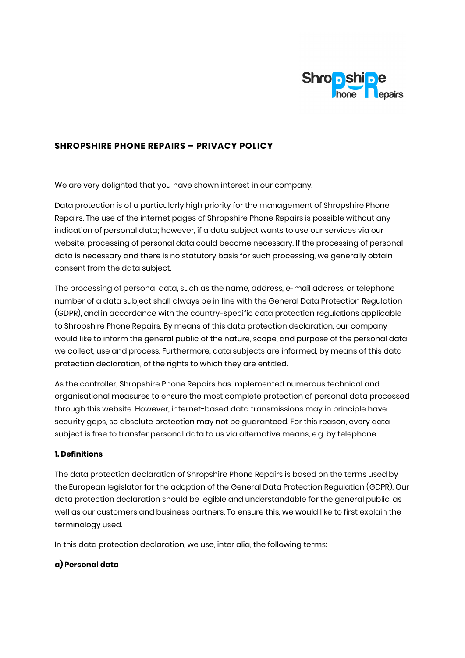

## SHROPSHIRE PHONE REPAIRS – PRIVACY POLICY

We are very delighted that you have shown interest in our company.

Data protection is of a particularly high priority for the management of Shropshire Phone Repairs. The use of the internet pages of Shropshire Phone Repairs is possible without any indication of personal data; however, if a data subject wants to use our services via our website, processing of personal data could become necessary. If the processing of personal data is necessary and there is no statutory basis for such processing, we generally obtain consent from the data subject.

The processing of personal data, such as the name, address, e-mail address, or telephone number of a data subject shall always be in line with the General Data Protection Regulation (GDPR), and in accordance with the country-specific data protection regulations applicable to Shropshire Phone Repairs. By means of this data protection declaration, our company would like to inform the general public of the nature, scope, and purpose of the personal data we collect, use and process. Furthermore, data subjects are informed, by means of this data protection declaration, of the rights to which they are entitled.

As the controller, Shropshire Phone Repairs has implemented numerous technical and organisational measures to ensure the most complete protection of personal data processed through this website. However, internet-based data transmissions may in principle have security gaps, so absolute protection may not be guaranteed. For this reason, every data subject is free to transfer personal data to us via alternative means, e.g. by telephone.

#### 1. Definitions

The data protection declaration of Shropshire Phone Repairs is based on the terms used by the European legislator for the adoption of the General Data Protection Regulation (GDPR). Our data protection declaration should be legible and understandable for the general public, as well as our customers and business partners. To ensure this, we would like to first explain the terminology used.

In this data protection declaration, we use, inter alia, the following terms:

#### a) Personal data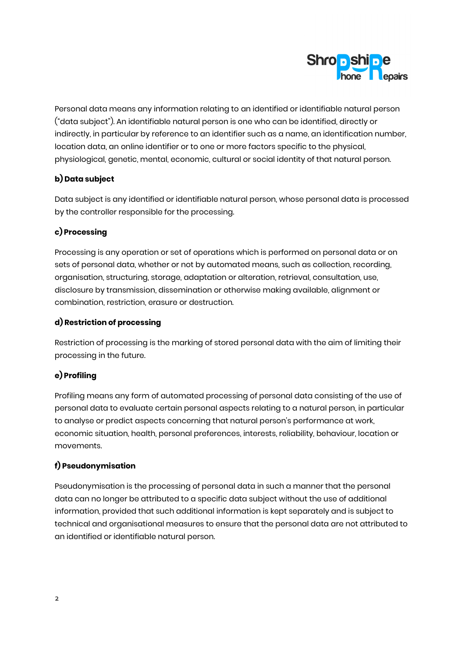

Personal data means any information relating to an identified or identifiable natural person ("data subject"). An identifiable natural person is one who can be identified, directly or indirectly, in particular by reference to an identifier such as a name, an identification number, location data, an online identifier or to one or more factors specific to the physical, physiological, genetic, mental, economic, cultural or social identity of that natural person.

# b) Data subject

Data subject is any identified or identifiable natural person, whose personal data is processed by the controller responsible for the processing.

# c) Processing

Processing is any operation or set of operations which is performed on personal data or on sets of personal data, whether or not by automated means, such as collection, recording, organisation, structuring, storage, adaptation or alteration, retrieval, consultation, use, disclosure by transmission, dissemination or otherwise making available, alignment or combination, restriction, erasure or destruction.

# d) Restriction of processing

Restriction of processing is the marking of stored personal data with the aim of limiting their processing in the future.

# e) Profiling

Profiling means any form of automated processing of personal data consisting of the use of personal data to evaluate certain personal aspects relating to a natural person, in particular to analyse or predict aspects concerning that natural person's performance at work, economic situation, health, personal preferences, interests, reliability, behaviour, location or movements.

## f) Pseudonymisation

Pseudonymisation is the processing of personal data in such a manner that the personal data can no longer be attributed to a specific data subject without the use of additional information, provided that such additional information is kept separately and is subject to technical and organisational measures to ensure that the personal data are not attributed to an identified or identifiable natural person.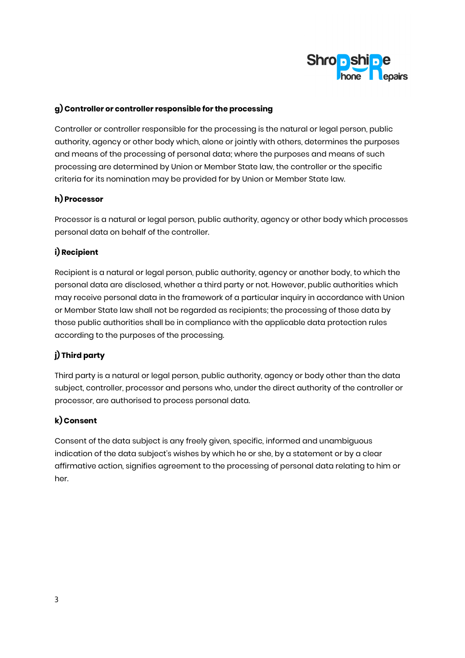

## g) Controller or controller responsible for the processing

Controller or controller responsible for the processing is the natural or legal person, public authority, agency or other body which, alone or jointly with others, determines the purposes and means of the processing of personal data; where the purposes and means of such processing are determined by Union or Member State law, the controller or the specific criteria for its nomination may be provided for by Union or Member State law.

# h) Processor

Processor is a natural or legal person, public authority, agency or other body which processes personal data on behalf of the controller.

# i) Recipient

Recipient is a natural or legal person, public authority, agency or another body, to which the personal data are disclosed, whether a third party or not. However, public authorities which may receive personal data in the framework of a particular inquiry in accordance with Union or Member State law shall not be regarded as recipients; the processing of those data by those public authorities shall be in compliance with the applicable data protection rules according to the purposes of the processing.

# j) Third party

Third party is a natural or legal person, public authority, agency or body other than the data subject, controller, processor and persons who, under the direct authority of the controller or processor, are authorised to process personal data.

## k) Consent

Consent of the data subject is any freely given, specific, informed and unambiguous indication of the data subject's wishes by which he or she, by a statement or by a clear affirmative action, signifies agreement to the processing of personal data relating to him or her.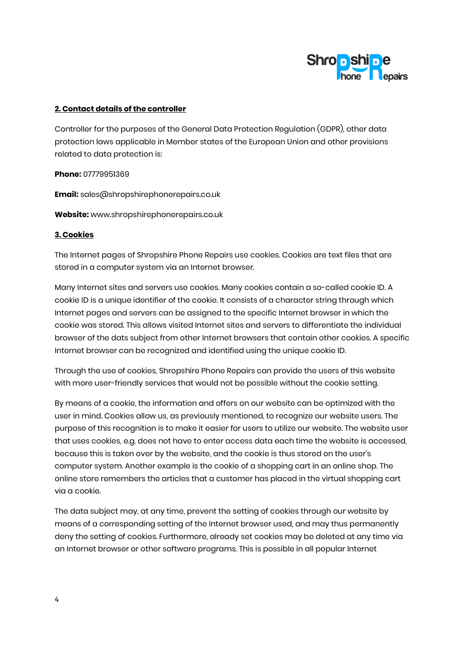

#### 2. Contact details of the controller

Controller for the purposes of the General Data Protection Regulation (GDPR), other data protection laws applicable in Member states of the European Union and other provisions related to data protection is:

Phone: 07779951369

Email: sales@shropshirephonerepairs.co.uk

Website: www.shropshirephonerepairs.co.uk

#### 3. Cookies

The Internet pages of Shropshire Phone Repairs use cookies. Cookies are text files that are stored in a computer system via an Internet browser.

Many Internet sites and servers use cookies. Many cookies contain a so-called cookie ID. A cookie ID is a unique identifier of the cookie. It consists of a character string through which Internet pages and servers can be assigned to the specific Internet browser in which the cookie was stored. This allows visited Internet sites and servers to differentiate the individual browser of the dats subject from other Internet browsers that contain other cookies. A specific Internet browser can be recognized and identified using the unique cookie ID.

Through the use of cookies, Shropshire Phone Repairs can provide the users of this website with more user-friendly services that would not be possible without the cookie setting.

By means of a cookie, the information and offers on our website can be optimized with the user in mind. Cookies allow us, as previously mentioned, to recognize our website users. The purpose of this recognition is to make it easier for users to utilize our website. The website user that uses cookies, e.g. does not have to enter access data each time the website is accessed, because this is taken over by the website, and the cookie is thus stored on the user's computer system. Another example is the cookie of a shopping cart in an online shop. The online store remembers the articles that a customer has placed in the virtual shopping cart via a cookie.

The data subject may, at any time, prevent the setting of cookies through our website by means of a corresponding setting of the Internet browser used, and may thus permanently deny the setting of cookies. Furthermore, already set cookies may be deleted at any time via an Internet browser or other software programs. This is possible in all popular Internet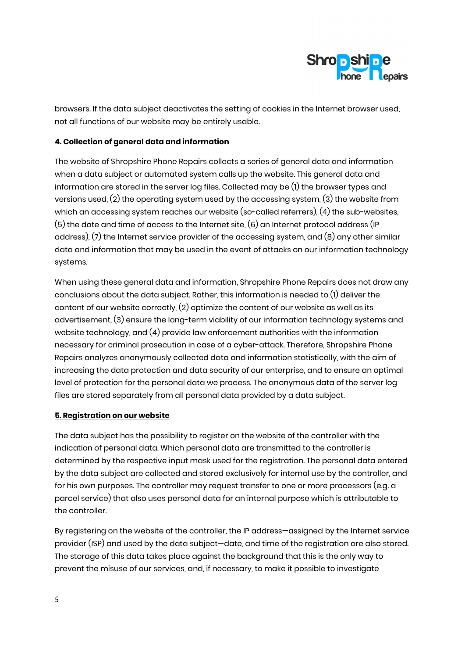

browsers. If the data subject deactivates the setting of cookies in the Internet browser used, not all functions of our website may be entirely usable.

### 4. Collection of general data and information

The website of Shropshire Phone Repairs collects a series of general data and information when a data subject or automated system calls up the website. This general data and information are stored in the server log files. Collected may be (1) the browser types and versions used, (2) the operating system used by the accessing system, (3) the website from which an accessing system reaches our website (so-called referrers), (4) the sub-websites, (5) the date and time of access to the Internet site, (6) an Internet protocol address (IP address), (7) the Internet service provider of the accessing system, and (8) any other similar data and information that may be used in the event of attacks on our information technology systems.

When using these general data and information, Shropshire Phone Repairs does not draw any conclusions about the data subject. Rather, this information is needed to (1) deliver the content of our website correctly, (2) optimize the content of our website as well as its advertisement, (3) ensure the long-term viability of our information technology systems and website technology, and (4) provide law enforcement authorities with the information necessary for criminal prosecution in case of a cyber-attack. Therefore, Shropshire Phone Repairs analyzes anonymously collected data and information statistically, with the aim of increasing the data protection and data security of our enterprise, and to ensure an optimal level of protection for the personal data we process. The anonymous data of the server log files are stored separately from all personal data provided by a data subject.

#### 5. Registration on our website

The data subject has the possibility to register on the website of the controller with the indication of personal data. Which personal data are transmitted to the controller is determined by the respective input mask used for the registration. The personal data entered by the data subject are collected and stored exclusively for internal use by the controller, and for his own purposes. The controller may request transfer to one or more processors (e.g. a parcel service) that also uses personal data for an internal purpose which is attributable to the controller.

By registering on the website of the controller, the IP address—assigned by the Internet service provider (ISP) and used by the data subject—date, and time of the registration are also stored. The storage of this data takes place against the background that this is the only way to prevent the misuse of our services, and, if necessary, to make it possible to investigate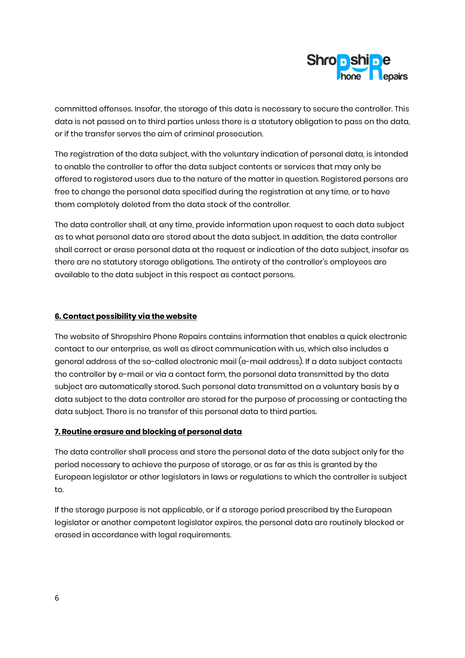

committed offenses. Insofar, the storage of this data is necessary to secure the controller. This data is not passed on to third parties unless there is a statutory obligation to pass on the data, or if the transfer serves the aim of criminal prosecution.

The registration of the data subject, with the voluntary indication of personal data, is intended to enable the controller to offer the data subject contents or services that may only be offered to registered users due to the nature of the matter in question. Registered persons are free to change the personal data specified during the registration at any time, or to have them completely deleted from the data stock of the controller.

The data controller shall, at any time, provide information upon request to each data subject as to what personal data are stored about the data subject. In addition, the data controller shall correct or erase personal data at the request or indication of the data subject, insofar as there are no statutory storage obligations. The entirety of the controller's employees are available to the data subject in this respect as contact persons.

### 6. Contact possibility via the website

The website of Shropshire Phone Repairs contains information that enables a quick electronic contact to our enterprise, as well as direct communication with us, which also includes a general address of the so-called electronic mail (e-mail address). If a data subject contacts the controller by e-mail or via a contact form, the personal data transmitted by the data subject are automatically stored. Such personal data transmitted on a voluntary basis by a data subject to the data controller are stored for the purpose of processing or contacting the data subject. There is no transfer of this personal data to third parties.

#### 7. Routine erasure and blocking of personal data

The data controller shall process and store the personal data of the data subject only for the period necessary to achieve the purpose of storage, or as far as this is granted by the European legislator or other legislators in laws or regulations to which the controller is subject to.

If the storage purpose is not applicable, or if a storage period prescribed by the European legislator or another competent legislator expires, the personal data are routinely blocked or erased in accordance with legal requirements.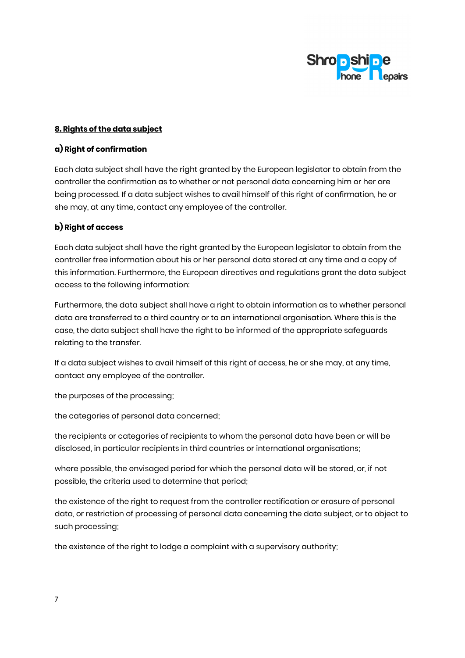

## 8. Rights of the data subject

#### a) Right of confirmation

Each data subject shall have the right granted by the European legislator to obtain from the controller the confirmation as to whether or not personal data concerning him or her are being processed. If a data subject wishes to avail himself of this right of confirmation, he or she may, at any time, contact any employee of the controller.

## b) Right of access

Each data subject shall have the right granted by the European legislator to obtain from the controller free information about his or her personal data stored at any time and a copy of this information. Furthermore, the European directives and regulations grant the data subject access to the following information:

Furthermore, the data subject shall have a right to obtain information as to whether personal data are transferred to a third country or to an international organisation. Where this is the case, the data subject shall have the right to be informed of the appropriate safeguards relating to the transfer.

If a data subject wishes to avail himself of this right of access, he or she may, at any time, contact any employee of the controller.

the purposes of the processing;

the categories of personal data concerned;

the recipients or categories of recipients to whom the personal data have been or will be disclosed, in particular recipients in third countries or international organisations;

where possible, the envisaged period for which the personal data will be stored, or, if not possible, the criteria used to determine that period;

the existence of the right to request from the controller rectification or erasure of personal data, or restriction of processing of personal data concerning the data subject, or to object to such processing;

the existence of the right to lodge a complaint with a supervisory authority;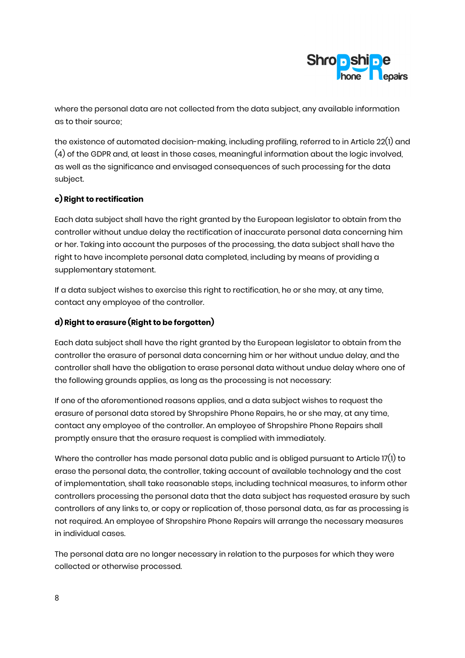

where the personal data are not collected from the data subject, any available information as to their source;

the existence of automated decision-making, including profiling, referred to in Article 22(1) and (4) of the GDPR and, at least in those cases, meaningful information about the logic involved, as well as the significance and envisaged consequences of such processing for the data subject.

# c) Right to rectification

Each data subject shall have the right granted by the European legislator to obtain from the controller without undue delay the rectification of inaccurate personal data concerning him or her. Taking into account the purposes of the processing, the data subject shall have the right to have incomplete personal data completed, including by means of providing a supplementary statement.

If a data subject wishes to exercise this right to rectification, he or she may, at any time, contact any employee of the controller.

# d) Right to erasure (Right to be forgotten)

Each data subject shall have the right granted by the European legislator to obtain from the controller the erasure of personal data concerning him or her without undue delay, and the controller shall have the obligation to erase personal data without undue delay where one of the following grounds applies, as long as the processing is not necessary:

If one of the aforementioned reasons applies, and a data subject wishes to request the erasure of personal data stored by Shropshire Phone Repairs, he or she may, at any time, contact any employee of the controller. An employee of Shropshire Phone Repairs shall promptly ensure that the erasure request is complied with immediately.

Where the controller has made personal data public and is obliged pursuant to Article 17(1) to erase the personal data, the controller, taking account of available technology and the cost of implementation, shall take reasonable steps, including technical measures, to inform other controllers processing the personal data that the data subject has requested erasure by such controllers of any links to, or copy or replication of, those personal data, as far as processing is not required. An employee of Shropshire Phone Repairs will arrange the necessary measures in individual cases.

The personal data are no longer necessary in relation to the purposes for which they were collected or otherwise processed.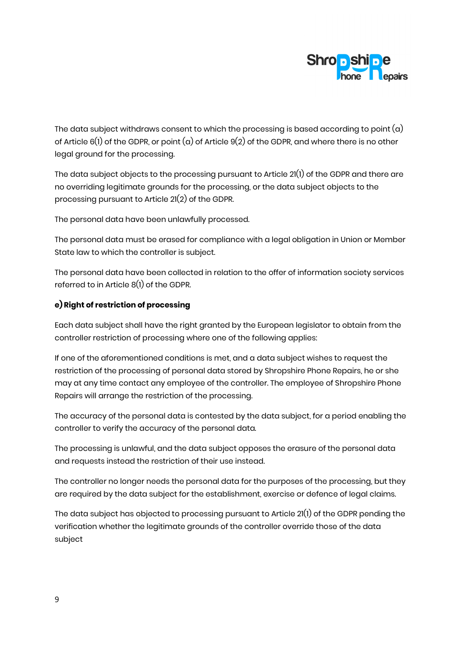

The data subject withdraws consent to which the processing is based according to point  $(a)$ of Article 6(1) of the GDPR, or point (a) of Article 9(2) of the GDPR, and where there is no other legal ground for the processing.

The data subject objects to the processing pursuant to Article 21(1) of the GDPR and there are no overriding legitimate grounds for the processing, or the data subject objects to the processing pursuant to Article 21(2) of the GDPR.

The personal data have been unlawfully processed.

The personal data must be erased for compliance with a legal obligation in Union or Member State law to which the controller is subject.

The personal data have been collected in relation to the offer of information society services referred to in Article 8(1) of the GDPR.

### e) Right of restriction of processing

Each data subject shall have the right granted by the European legislator to obtain from the controller restriction of processing where one of the following applies:

If one of the aforementioned conditions is met, and a data subject wishes to request the restriction of the processing of personal data stored by Shropshire Phone Repairs, he or she may at any time contact any employee of the controller. The employee of Shropshire Phone Repairs will arrange the restriction of the processing.

The accuracy of the personal data is contested by the data subject, for a period enabling the controller to verify the accuracy of the personal data.

The processing is unlawful, and the data subject opposes the erasure of the personal data and requests instead the restriction of their use instead.

The controller no longer needs the personal data for the purposes of the processing, but they are required by the data subject for the establishment, exercise or defence of legal claims.

The data subject has objected to processing pursuant to Article 21(1) of the GDPR pending the verification whether the legitimate grounds of the controller override those of the data subject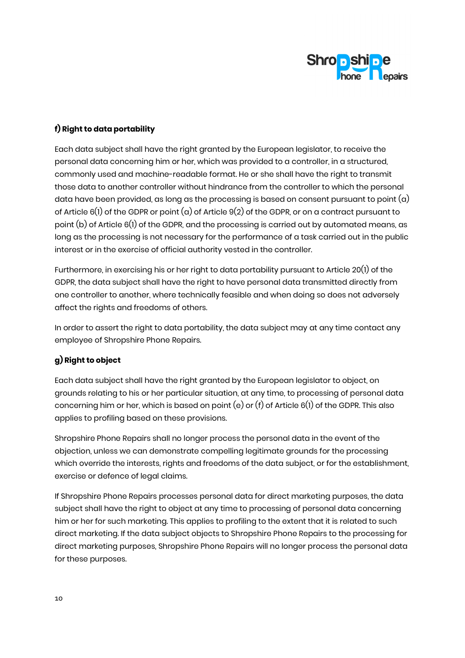

## f) Right to data portability

Each data subject shall have the right granted by the European legislator, to receive the personal data concerning him or her, which was provided to a controller, in a structured, commonly used and machine-readable format. He or she shall have the right to transmit those data to another controller without hindrance from the controller to which the personal data have been provided, as long as the processing is based on consent pursuant to point  $(a)$ of Article 6(1) of the GDPR or point (a) of Article 9(2) of the GDPR, or on a contract pursuant to point (b) of Article 6(1) of the GDPR, and the processing is carried out by automated means, as long as the processing is not necessary for the performance of a task carried out in the public interest or in the exercise of official authority vested in the controller.

Furthermore, in exercising his or her right to data portability pursuant to Article 20(1) of the GDPR, the data subject shall have the right to have personal data transmitted directly from one controller to another, where technically feasible and when doing so does not adversely affect the rights and freedoms of others.

In order to assert the right to data portability, the data subject may at any time contact any employee of Shropshire Phone Repairs.

# g) Right to object

Each data subject shall have the right granted by the European legislator to object, on grounds relating to his or her particular situation, at any time, to processing of personal data concerning him or her, which is based on point (e) or (f) of Article 6(1) of the GDPR. This also applies to profiling based on these provisions.

Shropshire Phone Repairs shall no longer process the personal data in the event of the objection, unless we can demonstrate compelling legitimate grounds for the processing which override the interests, rights and freedoms of the data subject, or for the establishment, exercise or defence of legal claims.

If Shropshire Phone Repairs processes personal data for direct marketing purposes, the data subject shall have the right to object at any time to processing of personal data concerning him or her for such marketing. This applies to profiling to the extent that it is related to such direct marketing. If the data subject objects to Shropshire Phone Repairs to the processing for direct marketing purposes, Shropshire Phone Repairs will no longer process the personal data for these purposes.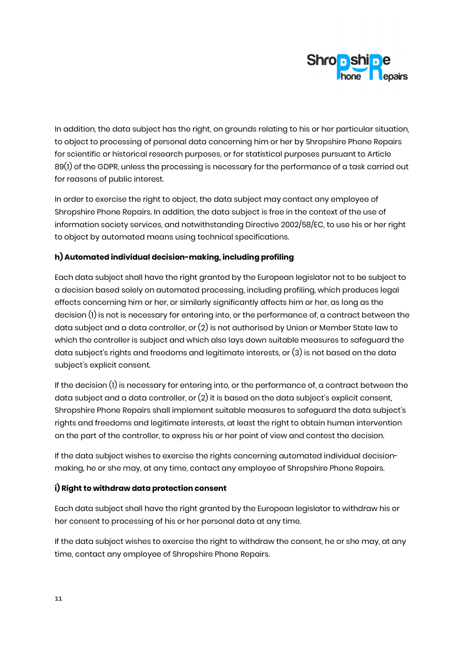

In addition, the data subject has the right, on grounds relating to his or her particular situation, to object to processing of personal data concerning him or her by Shropshire Phone Repairs for scientific or historical research purposes, or for statistical purposes pursuant to Article 89(1) of the GDPR, unless the processing is necessary for the performance of a task carried out for reasons of public interest.

In order to exercise the right to object, the data subject may contact any employee of Shropshire Phone Repairs. In addition, the data subject is free in the context of the use of information society services, and notwithstanding Directive 2002/58/EC, to use his or her right to object by automated means using technical specifications.

## h) Automated individual decision-making, including profiling

Each data subject shall have the right granted by the European legislator not to be subject to a decision based solely on automated processing, including profiling, which produces legal effects concerning him or her, or similarly significantly affects him or her, as long as the decision (1) is not is necessary for entering into, or the performance of, a contract between the data subject and a data controller, or (2) is not authorised by Union or Member State law to which the controller is subject and which also lays down suitable measures to safeguard the data subject's rights and freedoms and legitimate interests, or (3) is not based on the data subject's explicit consent.

If the decision  $(l)$  is necessary for entering into, or the performance of, a contract between the data subject and a data controller, or  $(2)$  it is based on the data subject's explicit consent, Shropshire Phone Repairs shall implement suitable measures to safeguard the data subject's rights and freedoms and legitimate interests, at least the right to obtain human intervention on the part of the controller, to express his or her point of view and contest the decision.

If the data subject wishes to exercise the rights concerning automated individual decisionmaking, he or she may, at any time, contact any employee of Shropshire Phone Repairs.

## i) Right to withdraw data protection consent

Each data subject shall have the right granted by the European legislator to withdraw his or her consent to processing of his or her personal data at any time.

If the data subject wishes to exercise the right to withdraw the consent, he or she may, at any time, contact any employee of Shropshire Phone Repairs.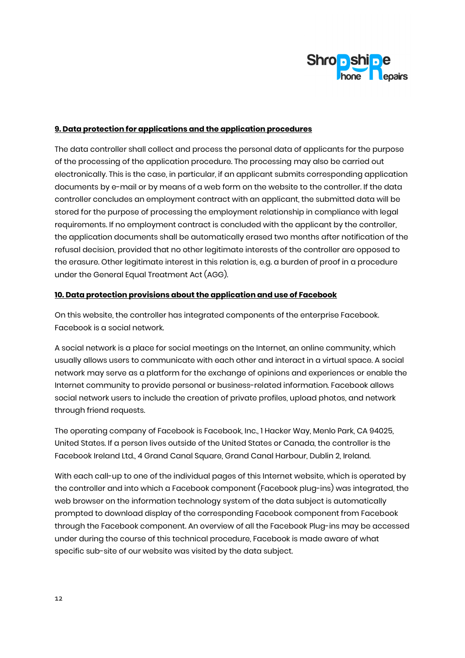

### 9. Data protection for applications and the application procedures

The data controller shall collect and process the personal data of applicants for the purpose of the processing of the application procedure. The processing may also be carried out electronically. This is the case, in particular, if an applicant submits corresponding application documents by e-mail or by means of a web form on the website to the controller. If the data controller concludes an employment contract with an applicant, the submitted data will be stored for the purpose of processing the employment relationship in compliance with legal requirements. If no employment contract is concluded with the applicant by the controller, the application documents shall be automatically erased two months after notification of the refusal decision, provided that no other legitimate interests of the controller are opposed to the erasure. Other legitimate interest in this relation is, e.g. a burden of proof in a procedure under the General Equal Treatment Act (AGG).

#### 10. Data protection provisions about the application and use of Facebook

On this website, the controller has integrated components of the enterprise Facebook. Facebook is a social network.

A social network is a place for social meetings on the Internet, an online community, which usually allows users to communicate with each other and interact in a virtual space. A social network may serve as a platform for the exchange of opinions and experiences or enable the Internet community to provide personal or business-related information. Facebook allows social network users to include the creation of private profiles, upload photos, and network through friend requests.

The operating company of Facebook is Facebook, Inc., 1 Hacker Way, Menlo Park, CA 94025, United States. If a person lives outside of the United States or Canada, the controller is the Facebook Ireland Ltd., 4 Grand Canal Square, Grand Canal Harbour, Dublin 2, Ireland.

With each call-up to one of the individual pages of this Internet website, which is operated by the controller and into which a Facebook component (Facebook plug-ins) was integrated, the web browser on the information technology system of the data subject is automatically prompted to download display of the corresponding Facebook component from Facebook through the Facebook component. An overview of all the Facebook Plug-ins may be accessed under during the course of this technical procedure, Facebook is made aware of what specific sub-site of our website was visited by the data subject.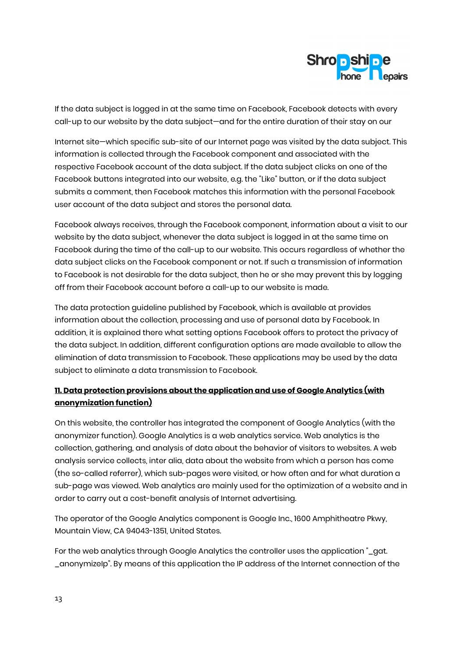

If the data subject is logged in at the same time on Facebook, Facebook detects with every call-up to our website by the data subject—and for the entire duration of their stay on our

Internet site—which specific sub-site of our Internet page was visited by the data subject. This information is collected through the Facebook component and associated with the respective Facebook account of the data subject. If the data subject clicks on one of the Facebook buttons integrated into our website, e.g. the "Like" button, or if the data subject submits a comment, then Facebook matches this information with the personal Facebook user account of the data subject and stores the personal data.

Facebook always receives, through the Facebook component, information about a visit to our website by the data subject, whenever the data subject is logged in at the same time on Facebook during the time of the call-up to our website. This occurs regardless of whether the data subject clicks on the Facebook component or not. If such a transmission of information to Facebook is not desirable for the data subject, then he or she may prevent this by logging off from their Facebook account before a call-up to our website is made.

The data protection guideline published by Facebook, which is available at provides information about the collection, processing and use of personal data by Facebook. In addition, it is explained there what setting options Facebook offers to protect the privacy of the data subject. In addition, different configuration options are made available to allow the elimination of data transmission to Facebook. These applications may be used by the data subject to eliminate a data transmission to Facebook.

# 11. Data protection provisions about the application and use of Google Analytics (with anonymization function)

On this website, the controller has integrated the component of Google Analytics (with the anonymizer function). Google Analytics is a web analytics service. Web analytics is the collection, gathering, and analysis of data about the behavior of visitors to websites. A web analysis service collects, inter alia, data about the website from which a person has come (the so-called referrer), which sub-pages were visited, or how often and for what duration a sub-page was viewed. Web analytics are mainly used for the optimization of a website and in order to carry out a cost-benefit analysis of Internet advertising.

The operator of the Google Analytics component is Google Inc., 1600 Amphitheatre Pkwy, Mountain View, CA 94043-1351, United States.

For the web analytics through Google Analytics the controller uses the application "\_gat. \_anonymizeIp". By means of this application the IP address of the Internet connection of the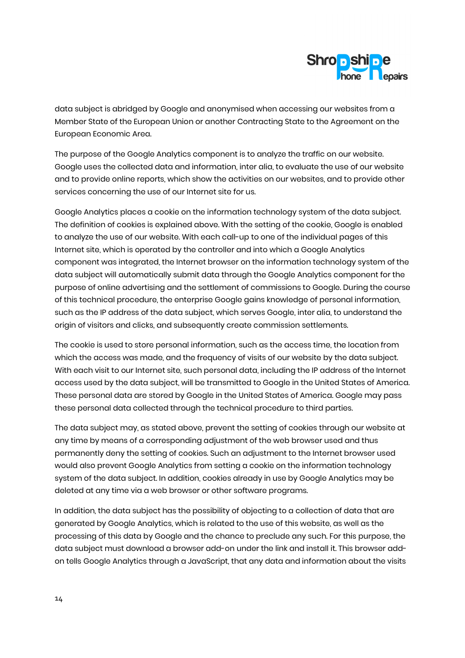

data subject is abridged by Google and anonymised when accessing our websites from a Member State of the European Union or another Contracting State to the Agreement on the European Economic Area.

The purpose of the Google Analytics component is to analyze the traffic on our website. Google uses the collected data and information, inter alia, to evaluate the use of our website and to provide online reports, which show the activities on our websites, and to provide other services concerning the use of our Internet site for us.

Google Analytics places a cookie on the information technology system of the data subject. The definition of cookies is explained above. With the setting of the cookie, Google is enabled to analyze the use of our website. With each call-up to one of the individual pages of this Internet site, which is operated by the controller and into which a Google Analytics component was integrated, the Internet browser on the information technology system of the data subject will automatically submit data through the Google Analytics component for the purpose of online advertising and the settlement of commissions to Google. During the course of this technical procedure, the enterprise Google gains knowledge of personal information, such as the IP address of the data subject, which serves Google, inter alia, to understand the origin of visitors and clicks, and subsequently create commission settlements.

The cookie is used to store personal information, such as the access time, the location from which the access was made, and the frequency of visits of our website by the data subject. With each visit to our Internet site, such personal data, including the IP address of the Internet access used by the data subject, will be transmitted to Google in the United States of America. These personal data are stored by Google in the United States of America. Google may pass these personal data collected through the technical procedure to third parties.

The data subject may, as stated above, prevent the setting of cookies through our website at any time by means of a corresponding adjustment of the web browser used and thus permanently deny the setting of cookies. Such an adjustment to the Internet browser used would also prevent Google Analytics from setting a cookie on the information technology system of the data subject. In addition, cookies already in use by Google Analytics may be deleted at any time via a web browser or other software programs.

In addition, the data subject has the possibility of objecting to a collection of data that are generated by Google Analytics, which is related to the use of this website, as well as the processing of this data by Google and the chance to preclude any such. For this purpose, the data subject must download a browser add-on under the link and install it. This browser addon tells Google Analytics through a JavaScript, that any data and information about the visits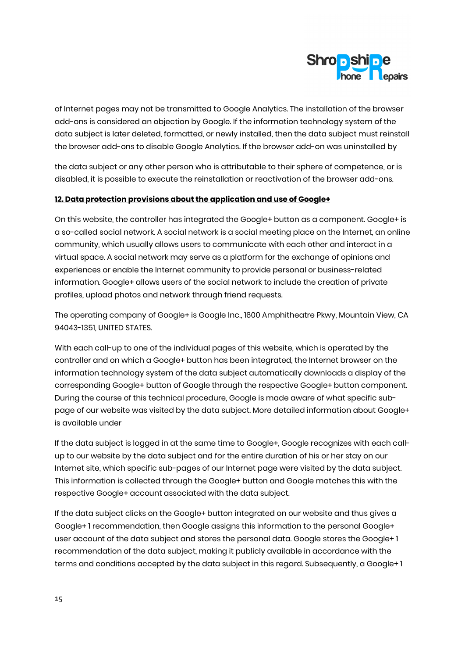

of Internet pages may not be transmitted to Google Analytics. The installation of the browser add-ons is considered an objection by Google. If the information technology system of the data subject is later deleted, formatted, or newly installed, then the data subject must reinstall the browser add-ons to disable Google Analytics. If the browser add-on was uninstalled by

the data subject or any other person who is attributable to their sphere of competence, or is disabled, it is possible to execute the reinstallation or reactivation of the browser add-ons.

#### 12. Data protection provisions about the application and use of Google+

On this website, the controller has integrated the Google+ button as a component. Google+ is a so-called social network. A social network is a social meeting place on the Internet, an online community, which usually allows users to communicate with each other and interact in a virtual space. A social network may serve as a platform for the exchange of opinions and experiences or enable the Internet community to provide personal or business-related information. Google+ allows users of the social network to include the creation of private profiles, upload photos and network through friend requests.

The operating company of Google+ is Google Inc., 1600 Amphitheatre Pkwy, Mountain View, CA 94043-1351, UNITED STATES.

With each call-up to one of the individual pages of this website, which is operated by the controller and on which a Google+ button has been integrated, the Internet browser on the information technology system of the data subject automatically downloads a display of the corresponding Google+ button of Google through the respective Google+ button component. During the course of this technical procedure, Google is made aware of what specific subpage of our website was visited by the data subject. More detailed information about Google+ is available under

If the data subject is logged in at the same time to Google+, Google recognizes with each callup to our website by the data subject and for the entire duration of his or her stay on our Internet site, which specific sub-pages of our Internet page were visited by the data subject. This information is collected through the Google+ button and Google matches this with the respective Google+ account associated with the data subject.

If the data subject clicks on the Google+ button integrated on our website and thus gives a Google+ 1 recommendation, then Google assigns this information to the personal Google+ user account of the data subject and stores the personal data. Google stores the Google+ 1 recommendation of the data subject, making it publicly available in accordance with the terms and conditions accepted by the data subject in this regard. Subsequently, a Google+ 1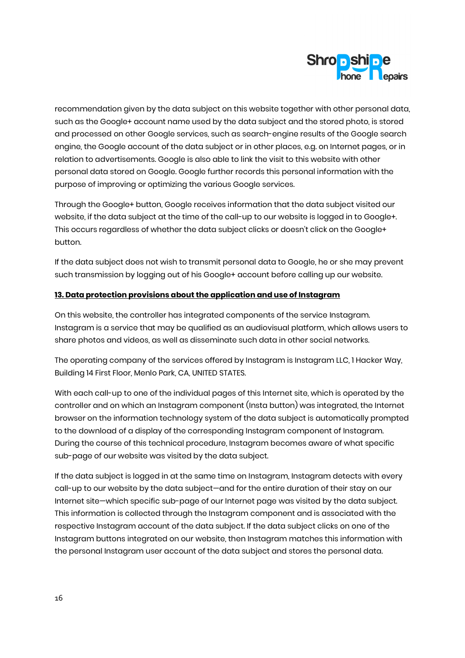

recommendation given by the data subject on this website together with other personal data, such as the Google+ account name used by the data subject and the stored photo, is stored and processed on other Google services, such as search-engine results of the Google search engine, the Google account of the data subject or in other places, e.g. on Internet pages, or in relation to advertisements. Google is also able to link the visit to this website with other personal data stored on Google. Google further records this personal information with the purpose of improving or optimizing the various Google services.

Through the Google+ button, Google receives information that the data subject visited our website, if the data subject at the time of the call-up to our website is logged in to Google+. This occurs regardless of whether the data subject clicks or doesn't click on the Google+ button.

If the data subject does not wish to transmit personal data to Google, he or she may prevent such transmission by logging out of his Google+ account before calling up our website.

#### 13. Data protection provisions about the application and use of Instagram

On this website, the controller has integrated components of the service Instagram. Instagram is a service that may be qualified as an audiovisual platform, which allows users to share photos and videos, as well as disseminate such data in other social networks.

The operating company of the services offered by Instagram is Instagram LLC, 1 Hacker Way, Building 14 First Floor, Menlo Park, CA, UNITED STATES.

With each call-up to one of the individual pages of this Internet site, which is operated by the controller and on which an Instagram component (Insta button) was integrated, the Internet browser on the information technology system of the data subject is automatically prompted to the download of a display of the corresponding Instagram component of Instagram. During the course of this technical procedure, Instagram becomes aware of what specific sub-page of our website was visited by the data subject.

If the data subject is logged in at the same time on Instagram, Instagram detects with every call-up to our website by the data subject—and for the entire duration of their stay on our Internet site—which specific sub-page of our Internet page was visited by the data subject. This information is collected through the Instagram component and is associated with the respective Instagram account of the data subject. If the data subject clicks on one of the Instagram buttons integrated on our website, then Instagram matches this information with the personal Instagram user account of the data subject and stores the personal data.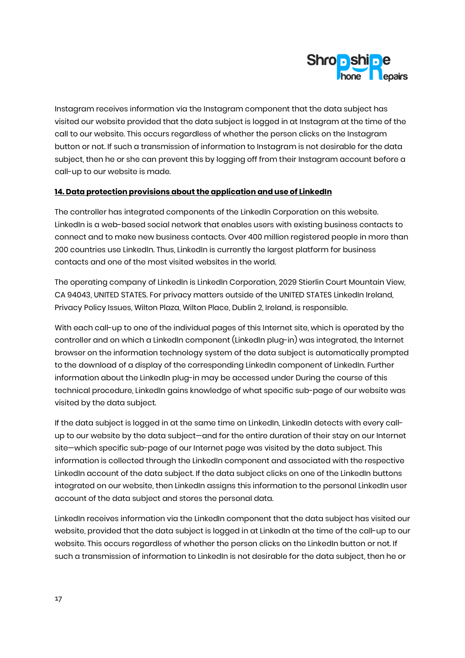

Instagram receives information via the Instagram component that the data subject has visited our website provided that the data subject is logged in at Instagram at the time of the call to our website. This occurs regardless of whether the person clicks on the Instagram button or not. If such a transmission of information to Instagram is not desirable for the data subject, then he or she can prevent this by logging off from their Instagram account before a call-up to our website is made.

### 14. Data protection provisions about the application and use of LinkedIn

The controller has integrated components of the LinkedIn Corporation on this website. LinkedIn is a web-based social network that enables users with existing business contacts to connect and to make new business contacts. Over 400 million registered people in more than 200 countries use LinkedIn. Thus, LinkedIn is currently the largest platform for business contacts and one of the most visited websites in the world.

The operating company of LinkedIn is LinkedIn Corporation, 2029 Stierlin Court Mountain View, CA 94043, UNITED STATES. For privacy matters outside of the UNITED STATES LinkedIn Ireland, Privacy Policy Issues, Wilton Plaza, Wilton Place, Dublin 2, Ireland, is responsible.

With each call-up to one of the individual pages of this Internet site, which is operated by the controller and on which a LinkedIn component (LinkedIn plug-in) was integrated, the Internet browser on the information technology system of the data subject is automatically prompted to the download of a display of the corresponding LinkedIn component of LinkedIn. Further information about the LinkedIn plug-in may be accessed under During the course of this technical procedure, LinkedIn gains knowledge of what specific sub-page of our website was visited by the data subject.

If the data subject is logged in at the same time on LinkedIn, LinkedIn detects with every callup to our website by the data subject—and for the entire duration of their stay on our Internet site—which specific sub-page of our Internet page was visited by the data subject. This information is collected through the LinkedIn component and associated with the respective LinkedIn account of the data subject. If the data subject clicks on one of the LinkedIn buttons integrated on our website, then LinkedIn assigns this information to the personal LinkedIn user account of the data subject and stores the personal data.

LinkedIn receives information via the LinkedIn component that the data subject has visited our website, provided that the data subject is logged in at LinkedIn at the time of the call-up to our website. This occurs regardless of whether the person clicks on the LinkedIn button or not. If such a transmission of information to LinkedIn is not desirable for the data subject, then he or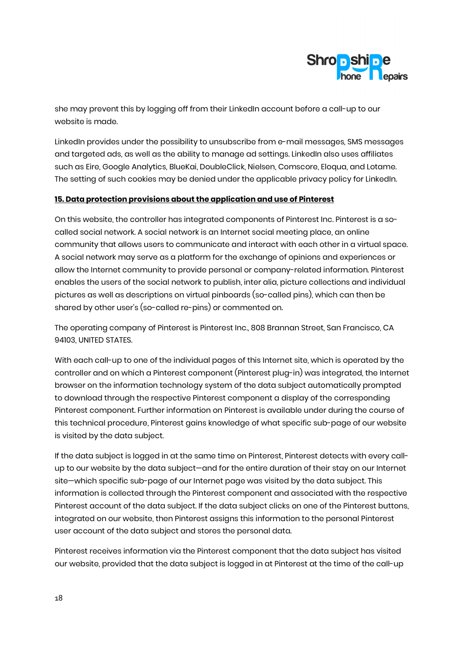

she may prevent this by logging off from their LinkedIn account before a call-up to our website is made.

LinkedIn provides under the possibility to unsubscribe from e-mail messages, SMS messages and targeted ads, as well as the ability to manage ad settings. LinkedIn also uses affiliates such as Eire, Google Analytics, BlueKai, DoubleClick, Nielsen, Comscore, Eloqua, and Lotame. The setting of such cookies may be denied under the applicable privacy policy for LinkedIn.

#### 15. Data protection provisions about the application and use of Pinterest

On this website, the controller has integrated components of Pinterest Inc. Pinterest is a socalled social network. A social network is an Internet social meeting place, an online community that allows users to communicate and interact with each other in a virtual space. A social network may serve as a platform for the exchange of opinions and experiences or allow the Internet community to provide personal or company-related information. Pinterest enables the users of the social network to publish, inter alia, picture collections and individual pictures as well as descriptions on virtual pinboards (so-called pins), which can then be shared by other user's (so-called re-pins) or commented on.

The operating company of Pinterest is Pinterest Inc., 808 Brannan Street, San Francisco, CA 94103, UNITED STATES.

With each call-up to one of the individual pages of this Internet site, which is operated by the controller and on which a Pinterest component (Pinterest plug-in) was integrated, the Internet browser on the information technology system of the data subject automatically prompted to download through the respective Pinterest component a display of the corresponding Pinterest component. Further information on Pinterest is available under during the course of this technical procedure, Pinterest gains knowledge of what specific sub-page of our website is visited by the data subject.

If the data subject is logged in at the same time on Pinterest, Pinterest detects with every callup to our website by the data subject—and for the entire duration of their stay on our Internet site—which specific sub-page of our Internet page was visited by the data subject. This information is collected through the Pinterest component and associated with the respective Pinterest account of the data subject. If the data subject clicks on one of the Pinterest buttons, integrated on our website, then Pinterest assigns this information to the personal Pinterest user account of the data subject and stores the personal data.

Pinterest receives information via the Pinterest component that the data subject has visited our website, provided that the data subject is logged in at Pinterest at the time of the call-up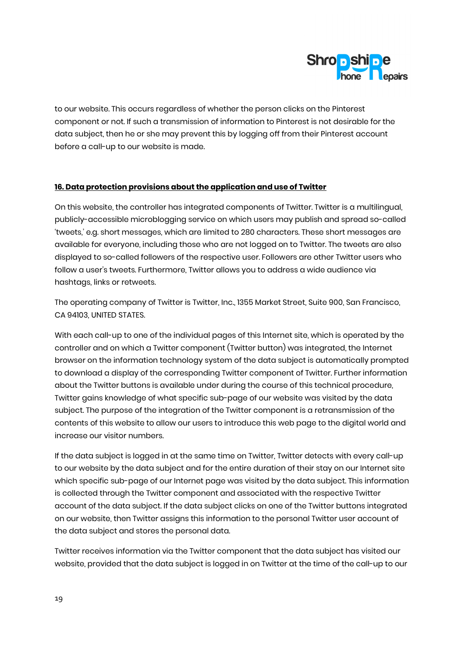

to our website. This occurs regardless of whether the person clicks on the Pinterest component or not. If such a transmission of information to Pinterest is not desirable for the data subject, then he or she may prevent this by logging off from their Pinterest account before a call-up to our website is made.

### 16. Data protection provisions about the application and use of Twitter

On this website, the controller has integrated components of Twitter. Twitter is a multilingual, publicly-accessible microblogging service on which users may publish and spread so-called 'tweets,' e.g. short messages, which are limited to 280 characters. These short messages are available for everyone, including those who are not logged on to Twitter. The tweets are also displayed to so-called followers of the respective user. Followers are other Twitter users who follow a user's tweets. Furthermore, Twitter allows you to address a wide audience via hashtags, links or retweets.

The operating company of Twitter is Twitter, Inc., 1355 Market Street, Suite 900, San Francisco, CA 94103, UNITED STATES.

With each call-up to one of the individual pages of this Internet site, which is operated by the controller and on which a Twitter component (Twitter button) was integrated, the Internet browser on the information technology system of the data subject is automatically prompted to download a display of the corresponding Twitter component of Twitter. Further information about the Twitter buttons is available under during the course of this technical procedure, Twitter gains knowledge of what specific sub-page of our website was visited by the data subject. The purpose of the integration of the Twitter component is a retransmission of the contents of this website to allow our users to introduce this web page to the digital world and increase our visitor numbers.

If the data subject is logged in at the same time on Twitter, Twitter detects with every call-up to our website by the data subject and for the entire duration of their stay on our Internet site which specific sub-page of our Internet page was visited by the data subject. This information is collected through the Twitter component and associated with the respective Twitter account of the data subject. If the data subject clicks on one of the Twitter buttons integrated on our website, then Twitter assigns this information to the personal Twitter user account of the data subject and stores the personal data.

Twitter receives information via the Twitter component that the data subject has visited our website, provided that the data subject is logged in on Twitter at the time of the call-up to our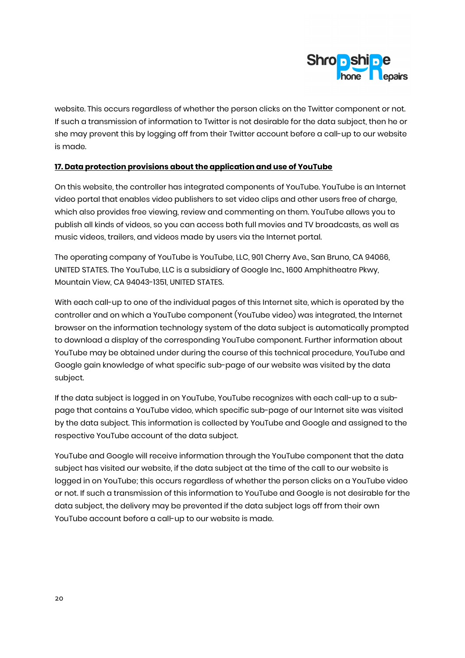

website. This occurs regardless of whether the person clicks on the Twitter component or not. If such a transmission of information to Twitter is not desirable for the data subject, then he or she may prevent this by logging off from their Twitter account before a call-up to our website is made.

### 17. Data protection provisions about the application and use of YouTube

On this website, the controller has integrated components of YouTube. YouTube is an Internet video portal that enables video publishers to set video clips and other users free of charge, which also provides free viewing, review and commenting on them. YouTube allows you to publish all kinds of videos, so you can access both full movies and TV broadcasts, as well as music videos, trailers, and videos made by users via the Internet portal.

The operating company of YouTube is YouTube, LLC, 901 Cherry Ave., San Bruno, CA 94066, UNITED STATES. The YouTube, LLC is a subsidiary of Google Inc., 1600 Amphitheatre Pkwy, Mountain View, CA 94043-1351, UNITED STATES.

With each call-up to one of the individual pages of this Internet site, which is operated by the controller and on which a YouTube component (YouTube video) was integrated, the Internet browser on the information technology system of the data subject is automatically prompted to download a display of the corresponding YouTube component. Further information about YouTube may be obtained under during the course of this technical procedure, YouTube and Google gain knowledge of what specific sub-page of our website was visited by the data subject.

If the data subject is logged in on YouTube, YouTube recognizes with each call-up to a subpage that contains a YouTube video, which specific sub-page of our Internet site was visited by the data subject. This information is collected by YouTube and Google and assigned to the respective YouTube account of the data subject.

YouTube and Google will receive information through the YouTube component that the data subject has visited our website, if the data subject at the time of the call to our website is logged in on YouTube; this occurs regardless of whether the person clicks on a YouTube video or not. If such a transmission of this information to YouTube and Google is not desirable for the data subject, the delivery may be prevented if the data subject logs off from their own YouTube account before a call-up to our website is made.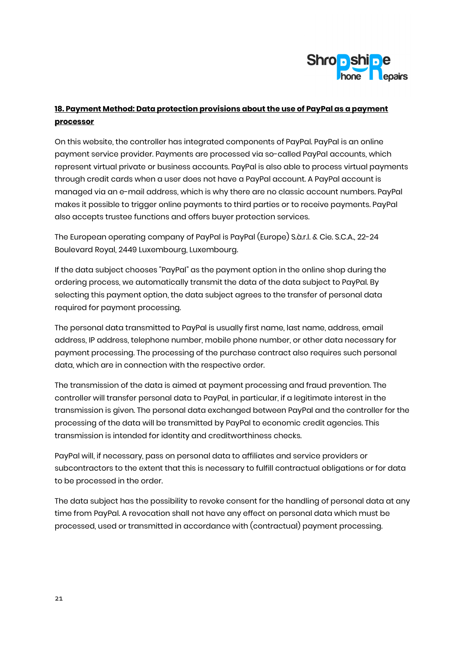

# 18. Payment Method: Data protection provisions about the use of PayPal as a payment processor

On this website, the controller has integrated components of PayPal. PayPal is an online payment service provider. Payments are processed via so-called PayPal accounts, which represent virtual private or business accounts. PayPal is also able to process virtual payments through credit cards when a user does not have a PayPal account. A PayPal account is managed via an e-mail address, which is why there are no classic account numbers. PayPal makes it possible to trigger online payments to third parties or to receive payments. PayPal also accepts trustee functions and offers buyer protection services.

The European operating company of PayPal is PayPal (Europe) S.à.r.l. & Cie. S.C.A., 22-24 Boulevard Royal, 2449 Luxembourg, Luxembourg.

If the data subject chooses "PayPal" as the payment option in the online shop during the ordering process, we automatically transmit the data of the data subject to PayPal. By selecting this payment option, the data subject agrees to the transfer of personal data required for payment processing.

The personal data transmitted to PayPal is usually first name, last name, address, email address, IP address, telephone number, mobile phone number, or other data necessary for payment processing. The processing of the purchase contract also requires such personal data, which are in connection with the respective order.

The transmission of the data is aimed at payment processing and fraud prevention. The controller will transfer personal data to PayPal, in particular, if a legitimate interest in the transmission is given. The personal data exchanged between PayPal and the controller for the processing of the data will be transmitted by PayPal to economic credit agencies. This transmission is intended for identity and creditworthiness checks.

PayPal will, if necessary, pass on personal data to affiliates and service providers or subcontractors to the extent that this is necessary to fulfill contractual obligations or for data to be processed in the order.

The data subject has the possibility to revoke consent for the handling of personal data at any time from PayPal. A revocation shall not have any effect on personal data which must be processed, used or transmitted in accordance with (contractual) payment processing.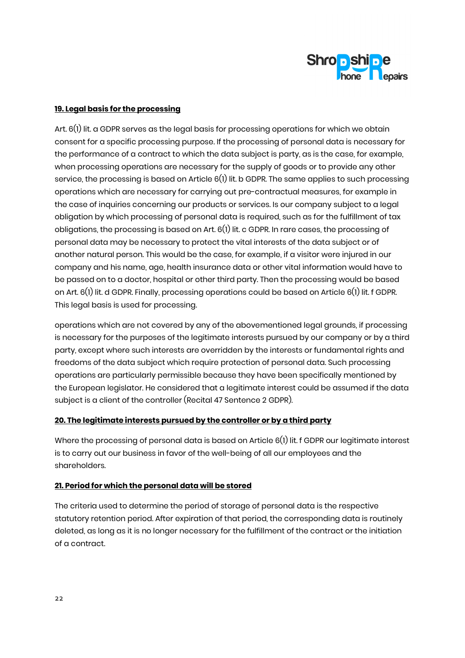

### 19. Legal basis for the processing

Art. 6(1) lit. a GDPR serves as the legal basis for processing operations for which we obtain consent for a specific processing purpose. If the processing of personal data is necessary for the performance of a contract to which the data subject is party, as is the case, for example, when processing operations are necessary for the supply of goods or to provide any other service, the processing is based on Article 6(1) lit. b GDPR. The same applies to such processing operations which are necessary for carrying out pre-contractual measures, for example in the case of inquiries concerning our products or services. Is our company subject to a legal obligation by which processing of personal data is required, such as for the fulfillment of tax obligations, the processing is based on Art. 6(1) lit. c GDPR. In rare cases, the processing of personal data may be necessary to protect the vital interests of the data subject or of another natural person. This would be the case, for example, if a visitor were injured in our company and his name, age, health insurance data or other vital information would have to be passed on to a doctor, hospital or other third party. Then the processing would be based on Art. 6(1) lit. d GDPR. Finally, processing operations could be based on Article 6(1) lit. f GDPR. This legal basis is used for processing.

operations which are not covered by any of the abovementioned legal grounds, if processing is necessary for the purposes of the legitimate interests pursued by our company or by a third party, except where such interests are overridden by the interests or fundamental rights and freedoms of the data subject which require protection of personal data. Such processing operations are particularly permissible because they have been specifically mentioned by the European legislator. He considered that a legitimate interest could be assumed if the data subject is a client of the controller (Recital 47 Sentence 2 GDPR).

## 20. The legitimate interests pursued by the controller or by a third party

Where the processing of personal data is based on Article 6(1) lit. f GDPR our legitimate interest is to carry out our business in favor of the well-being of all our employees and the shareholders.

## 21. Period for which the personal data will be stored

The criteria used to determine the period of storage of personal data is the respective statutory retention period. After expiration of that period, the corresponding data is routinely deleted, as long as it is no longer necessary for the fulfillment of the contract or the initiation of a contract.